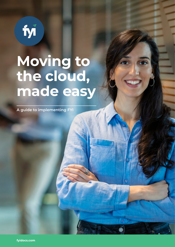

# **Moving to the cloud, made easy**

ö

**A guide to implementing FYI**

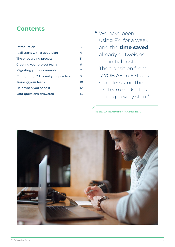# **Contents**

| Introduction                          | 3               |
|---------------------------------------|-----------------|
| It all starts with a good plan        | 4               |
| The onboarding process                | 5               |
| Creating your project team            | 6               |
| Migrating your documents              | 7               |
| Configuring FYI to suit your practice | 9               |
| Training your team                    | 10              |
| Help when you need it                 | 12 <sup>°</sup> |
| Your questions answered               | 13.             |

**"** We have been using FYI for a week, and the **time saved** already outweighs the initial costs. The transition from MYOB AE to FYI was seamless, and the FYI team walked us through every step. **"**

REBECCA REABURN – TOOHEY REID

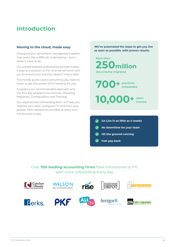# **Introduction**

# **Moving to the cloud, made easy**

Changing your document management system may seem like a difficult undertaking – but it doesn't have to be.

Our simple assisted onboarding process makes it easy to transition to FYI. And we will work with you to ensure your practice doesn't miss a beat.

This handy guide covers everything you need to know to get the power of FYI working for you.

It explains our recommended approach and the four key phases in our process: Planning, Migration, Configuration and Training.

Our experienced onboarding team will help you migrate your data, configure FYI and train your people. With assistance provided at every turn, the process is easy.

**We've automated the steps to get you live as soon as possible, with proven results.**



- 
- **Hit the ground running**
- **Fast pay-back**

Over **700 leading accounting firms** have transitioned to FYI, with more onboarding every day.

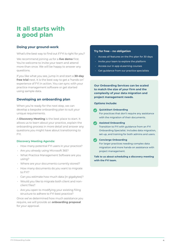# **It all starts with a good plan**

# **Doing your ground-work**

What's the best way to find out if FYI is right for you?

We recommend joining us for a **live demo** first. You're welcome to invite your team and attend more than once. We will be happy to answer any questions.

If you like what you see, jump in and start a **30-day free trial** next. It is the best way to get a 'hands-on' experience of FYI in action. You can sync with your practice management software or get started using sample data.

# **Developing an onboarding plan**

When you're ready for the next step, we can develop a bespoke onboarding plan to suit your unique requirements.

A **Discovery Meeting** is the best place to start. It allows us to learn about your practice, explain the onboarding process in more detail and answer any questions you might have about transitioning to FYI.

# **Discovery Meeting Agenda:**

- How many potential FYI users in your practice?
- Are you already using Microsoft 365?
- What Practice Management Software are you using?
- Where are your documents currently stored?
- How many documents do you want to migrate to FYI?
- Can you estimate how much data (in gigabytes)?
- Would you like to migrate both client and nonclient files?
- Are you open to modifying your existing filing structure to adhere to FYI best practice?

Once we've determined how much assistance you require, we will provide an **onboarding proposal** for your approval.

### **Try for free – no obligation**

- Access all features on the Pro plan for 30 days
- Invite your team to explore the platform
- Access our in-app eLearning courses
- Get guidance from our practice specialists

**Our Onboarding Services can be scaled to match the size of your firm and the complexity of your data migration and project management needs.**

### **Options include:**

### **QuickStart Onboarding**

For practices that don't require any assistance with the migration of their documents.

### **Assisted Onboarding**

Transition to FYI with guidance from an FYI Onboarding Specialist. Includes data migration, set-up, and training for both admins and users.

### **Concierge Onboarding**

For larger practices needing complex data migration and more hands-on assistance with project management.

**Talk to us about scheduling a discovery meeting with the FYI team.**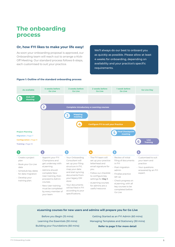# **The onboarding process**

# **Or, how FYI likes to make your life easy!**

As soon your onboarding proposal is approved, our Onboarding team will reach out to arrange a Kick-Off Meeting. Our standard process follows 6-steps, each customised to suit your practice.

We'll always do our best to onboard you as quickly as possible. Please allow at least 4 weeks for onboarding, depending on availability and your practice's specific requirements.



### **Figure 1: Outline of the standard onboarding process**

| eLearning courses for new users and admins will prepare you for Go Live |  |
|-------------------------------------------------------------------------|--|
|-------------------------------------------------------------------------|--|

Before you Begin (15 mins) Learning the Essentials (30 mins) Building your Foundations (60 mins)

Getting Started as an FYI Admin (60 mins) Managing Templates and Stationery (30 mins) **Refer to page 11 for more detail**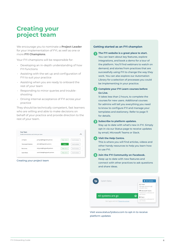# **Creating your project team**

We encourage you to nominate a **Project Leader** for your implementation of FYI, as well as one or more **FYI Champions**.

Your FYI champions will be responsible for:

- Developing an in-depth understanding of how FYI functions
- Assisting with the set up and configuration of FYI to suit your practice
- Assisting when you are ready to onboard the rest of your team
- Responding to minor queries and troubleshooting
- Driving internal acceptance of FYI across your practice

They should be technically competent, fast learners who are willing and able to make decisions on behalf of your practice and provide direction to the rest of your team.

| Enable Administrators and invite your team. |                                |              |                 |
|---------------------------------------------|--------------------------------|--------------|-----------------|
| Jo Hayne                                    | jo.hayne@thegrowth.partners    | Make Admin   | Send Invitation |
| The Growth Partners                         | admin@thegrowth.partners       | <b>Admin</b> | Send Invitation |
| Rob Jones                                   | rob.jones@thegrowth.partners   | Make Admin   | Send Invitation |
| Sarah Blake                                 | sarah.blake@thegrowth.partners | Make Admin   | Send Invitation |

Creating your project team

#### **Getting started as an FYI champion**

- **The FYI website is a great place to start.**  You can learn about key features, explore integrations, and book a demo for a tour of the platform. You'll find webinars to watch on demand, and stories from practices that are successfully using FYI to change the way they work. You can also explore our Automation Library for a selection of processes you could be implementing in your practice. **1**
- **Complete your FYI Learn courses before 2 Go Live.**

It takes less than 2 hours, to complete the courses for new users. Additional courses for admins will tell you everything you need to know to configure FYI and manage your templates and stationery. Refer to page 11 for details.

# **Subscribe to platform updates. 3**

Stay up to date with what's new in FYI. Simply opt-in via our Status page to receive updates by email, Microsoft Teams or Slack.

#### **Visit the Help Centre. 4**

This is where you will find articles, videos and other handy resources to help you learn how to use FYI.

#### **Join the FYI Community on Facebook. 5**

Keep up to date with new features and connect with other practices to ask questions and share ideas.



Visit www.status.fyidocs.com to opt-in to receive platform updates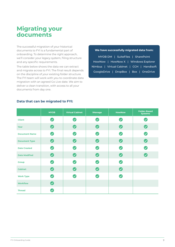# **Migrating your documents**

The successful migration of your historical documents to FYI is a fundamental part of onboarding. To determine the right approach, we'll consider your legacy system, filing structure and any specific requirements.

The table below shows the data we can extract and migrate across to FYI. The final result depends on the discipline of your existing folder structure. The FYI team will work with you to coordinate data migration with an agreed Go Live date. We aim to deliver a clean transition, with access to all your documents from day one.

# **We have successfully migrated data from:**

MYOB DM | SuiteFiles | SharePoint HowNow | HowNow X | Windows Explorer Nimbus | Virtual Cabinet | CCH | Handisoft GoogleDrive | DropBox | Box | OneDrive

|                      | <b>MYOB</b>                | <b>Virtual Cabinet</b>     | <b>iManage</b><br><b>HowNow</b> |                       | <b>Folder-Based</b><br><b>Systems</b> |  |
|----------------------|----------------------------|----------------------------|---------------------------------|-----------------------|---------------------------------------|--|
| <b>Client</b>        | $\boldsymbol{\heartsuit}$  | $\boldsymbol{\omega}$      | $\boldsymbol{\heartsuit}$       | $\bullet$             | $\boldsymbol{\Omega}$                 |  |
| Year                 | $\bullet$                  | $\bigcirc$                 | $\bigcirc$                      | $\bullet$             | $\bullet$                             |  |
| <b>Document Name</b> | $\bullet$                  | $\bm{\bm{\heartsuit}}$     | $\bullet$                       | $\bullet$             | $\bullet$                             |  |
| <b>Document Type</b> | $\bullet$                  | $\bullet$                  | $\boldsymbol{\nabla}$           | $\bullet$             | $\bullet$                             |  |
| <b>Date Created</b>  | $\bullet$                  | $\boldsymbol{\mathcal{Q}}$ | $\boldsymbol{\omega}$           | $\bullet$             | $\bullet$                             |  |
| <b>Date Modified</b> | $\bullet$                  | $\bullet$                  | $\bullet$                       | $\bullet$             | $\bullet$                             |  |
| <b>Group</b>         | $\boldsymbol{\Omega}$      | $\boldsymbol{\omega}$      | $\boldsymbol{\mathcal{S}}$      | $\bullet$             |                                       |  |
| <b>Cabinet</b>       | $\bullet$                  | $\bullet$                  | $\bullet$                       | $\bullet$             |                                       |  |
| <b>Work Type</b>     | $\bullet$                  | $\blacktriangledown$       | $\blacktriangledown$            | $\boldsymbol{\omega}$ |                                       |  |
| <b>Workflow</b>      | $\bullet$                  |                            |                                 |                       |                                       |  |
| <b>Thread</b>        | $\boldsymbol{\mathcal{S}}$ |                            |                                 |                       |                                       |  |

# **Data that can be migrated to FYI:**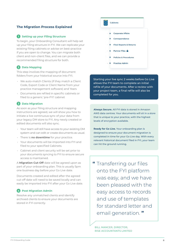# **The Migration Process Explained**

### **1** Setting up your Filing Structure

To begin, your Onboarding Consultant will help set up your filing structure in FYI. We can replicate your existing filing cabinets or advise on best-practice if you are open to change. You can migrate both client and non-client files, and we can provide a recommended filing structure for both.

# **2 Data Mapping**

This step involves the mapping of document folders from your historical source into FYI.

- We auto-match Clients (if they match a Client Code, Export Code or Client Name from your practice management software) and Years
- Documents are refiled in specific cabinets or filed to a generic 'pre-FYI' cabinet

### **3 Data Migration**

As soon as your filing structure and mapping instructions are agreed, we will show you how to initiate a live continuous sync of your data from your legacy DM store to FYI. Any newly created or edited documents will also sync.

- Your team will still have access to your existing DM system and can edit or create documents as usual.
- There is **no downtime** for your practice.
- Your documents will be imported into FYI and filed to your specified Cabinets.
- Cabinet and client security will be set prior to your documents syncing to FYI to ensure secure access is maintained.

A **Migration Cut-Off** date will be agreed upon as part of your onboarding plan. This is usually 5pm one business day before your Go Live date.

Documents created and edited after the agreed cut-off date will need to be saved locally and can easily be imported into FYI after your Go Live date.

# **4 Post Migration Admin**

Resolve any unmatched clients and identify archived clients to ensure your documents are stored in FYI correctly.



Starting your live sync 2 weeks before Go Live allows the FYI team to complete an initial refile of your documents. After a review with your project team, a final refile will also be completed for you.

**Always Secure.** All FYI data is stored in Amazon AWS data centres. Your documents will sit in a store that is unique to your practice, with the highest levels of encryption available.

**Ready for Go Live.** Your onboarding plan is designed to ensure your document migration is completed in time for your Go Live day. With every relevant historical document filed in FYI, your team can hit the ground running.

**"** Transferring our files onto the FYI platform was easy, and we have been pleased with the easy access to records and use of templates for standard letter and email generation. **"**

BILL MANCER, DIRECTOR, RISE ACCOUNTANTS LIMITED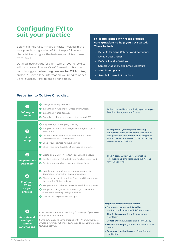# **Configuring FYI to suit your practice FYI is pre-loaded with 'best practice'**

Below is a helpful summary of tasks involved in the set up and configuration of FYI. Simply follow our checklist to configure the features you'd like to use from Day 1.

Detailed instructions for each item on your checklist will be provided in your Kick-Off meeting. Start by completing your **eLearning courses for FYI Admins**, and you'll have all the information you need to be set up for success. Refer to page 11 for details.

# **configurations to help you get started. These include:**

- Defaults for Filing Cabinets and Categories
- Default User Groups
- Default Practice Settings
- Sample Stationery and Email Signature
- Sample Templates
- Sample Process Automations

| <b>Before you</b><br><b>Begin</b>                                     | Start your 30-day Free Trial<br>Install the FYI Add-ins for Office and Outlook<br>Install the FYI Desktop App<br>O Optimise each user's computer for use with FYI                                                                                                                                                                                                                      | Active Users will automatically sync from your<br>Practice Management software.                                                                                                                                                                                                                                                                                             |
|-----------------------------------------------------------------------|----------------------------------------------------------------------------------------------------------------------------------------------------------------------------------------------------------------------------------------------------------------------------------------------------------------------------------------------------------------------------------------|-----------------------------------------------------------------------------------------------------------------------------------------------------------------------------------------------------------------------------------------------------------------------------------------------------------------------------------------------------------------------------|
| $\mathbf{2}$<br><b>Initial</b><br><b>Setup</b>                        | Prepare for your Mapping Meeting<br>Setup User Groups and assign admin rights to your<br><b>FYI Admins</b><br>◆ Provide a list of clients to be secured in FYI with<br>limited user access permissions<br>Check your Practice Admin Settings<br>Check your Email AutoFile Settings and Defaults                                                                                        | To prepare for your Mapping Meeting,<br>simply familiarise yourself with FYI's default<br>configurations for Cabinets and Categories.<br>This is covered in the Learn Course: Getting<br>Started as an FYI Admin                                                                                                                                                            |
| 3<br><b>Templates and</b><br><b>Stationery</b>                        | Create an Email in FYI to test your Email Signature<br>Create a Letter in FYI to test your Practice Letterhead<br>Create some email and document templates                                                                                                                                                                                                                             | The FYI team will set up your practice<br>letterhead and email signature in FYI, ready<br>for your approval                                                                                                                                                                                                                                                                 |
| 4<br><b>Configure</b><br><b>FYI to</b><br>suit your<br>practice       | O Update your default views so you can search for<br>documents in ways that suit your practice<br>Check the setup of your Jobs Board and the way you'd<br>like your Job States to display<br>Setup user authorisation levels for Workflow approvals<br>Setup and configure Collaborate so you can share<br>documents securely with your clients.<br>Connect FYI to your favourite apps |                                                                                                                                                                                                                                                                                                                                                                             |
| B<br><b>Activate and</b><br>configure<br>sample<br><b>automations</b> | Check out our Automation Library for a range of processes<br>that you can automate.<br>Some automations come shipped with FYI and others are<br>available for import. Simply customise to suit your practice,<br>test, and activate.                                                                                                                                                   | <b>Popular automations to explore:</b><br>• Document Import and AutoFile<br>e.g. Automatic Import of ASIC Statements<br>• Client Management e.g. Onboarding a<br><b>New Client</b><br>• Compliance e.g. Establishing a New Entity<br>• Email Marketing e.g. Send a Bulk Email to all<br><b>Clients</b><br>· Summary Notifications e.g. Client Signed<br><b>Notification</b> |

# **Preparing to Go Live Checklist:**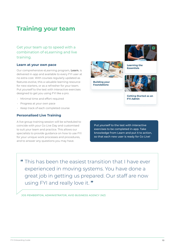# **Training your team**

Get your team up to speed with a combination of eLearning and live training.

# **Learn at your own pace**

Our comprehensive eLearning program, **Learn**, is delivered in-app and available to every FYI user at no extra cost. With courses regularly updated as features evolve, this a valuable learning resource for new starters, or as a refresher for your team. Put yourself to the test with interactive exercises designed to get you using FYI like a pro.

- Minimal time and effort required
- Progress at your own pace
- Keep track of each completed course

# **Personalised Live Training**

A live group training session will be scheduled to coincide with your Go Live Day and customised to suit your team and practice. This allows our specialists to provide guidance on how to use FYI for your unique work processes and procedures, and to answer any questions you may have.



**Building your Foundations** 



**Learning the Essentials** 



**Getting Started as an FYI Admin** 

Put yourself to the test with interactive exercises to be completed in-app. Take knowledge from Learn and put it to action, so that each new user is ready for Go Live!

**"** This has been the easiest transition that I have ever experienced in moving systems. You have done a great job in getting us prepared. Our staff are now using FYI and really love it. **"**

JOS PEMBERTON, ADMINISTRATOR, AVID BUSINESS AGENCY (NZ)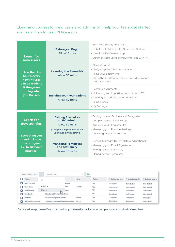ELearning courses for new users and admins will help your team get started and learn how to use FYI like a pro.

| <b>Learn for</b><br>new users                                       | <b>Before you Begin</b><br>Allow 15 mins                                                                            | · Start your 30-day Free Trial<br>. Install the FYI Add-ins for Office and Outlook<br>· Install the FYI Desktop App<br>Optimise each user's computer for use with FYI                 |  |  |
|---------------------------------------------------------------------|---------------------------------------------------------------------------------------------------------------------|---------------------------------------------------------------------------------------------------------------------------------------------------------------------------------------|--|--|
| In less than two<br>hours, every<br>new FYI user<br>can be ready to | <b>Learning the Essentials</b><br>Allow 30 mins                                                                     | · Navigating FYI<br>· Navigating the Client Workspace<br>· Filing your documents<br>. Using the + button to create emails, documents,<br>tasks and more                               |  |  |
| hit the ground<br>running when<br>you Go Live.                      | <b>Building your Foundations</b><br>Allow 60 mins                                                                   | · Locating documents<br>• Uploading and importing documents to FYI<br>· Creating and editing documents in FYI<br>· Filing emails<br>· My Settings                                     |  |  |
| <b>Learn for</b><br>new admins<br><b>Everything you</b>             | <b>Getting Started as</b><br>an FYI Admin<br>Allow 60 mins<br>(Complete in preparation for<br>your mapping meeting) | · Setting up your Cabinets and Categories<br>· Completing your initial setup<br>· Applying your filing defaults<br>· Managing your Practice Settings<br>· Checking Practice Templates |  |  |
| need to know<br>to configure<br>FYI to suit your<br>practice.       | <b>Managing Templates</b><br>and Stationery<br>Allow 30 mins                                                        | · Getting Started with Templates and Stationery<br>· Managing your Email Signatures<br>· Managing your Stationery<br>· Managing your Templates                                        |  |  |

| Learn Dashboard         | $\blacksquare$<br>Search users   |             | জ<br>×  |        |               |                             |               |
|-------------------------|----------------------------------|-------------|---------|--------|---------------|-----------------------------|---------------|
| Name                    | All                              |             | Role    | Active | Before you Be | <sup>®</sup> Learning the E | Building your |
| <b>Dave Darrant</b>     |                                  | artners     |         | Yes    | In Progress   | Not started                 | Not started   |
| <b>Harry Spins</b>      | Admins                           | <b>hers</b> | Auditor | Yes    | Not started   | Not started                 | Not started   |
| Juhi Chawla             | <b>Users</b>                     | tners       |         | Yes    | Completed     | Completed                   | In Progress   |
| <b>KIm Doyle</b>        | kIm.doyle@thegrowth.partners     |             |         | Yes    | Completed     | In Progress                 | Not started   |
| <b>Liz Hurst</b>        | liz.hurst@thegrowth.partners     |             | Partner | Yes    | Completed     | Completed                   | Completed     |
| <b>Michael Drummond</b> | michael.drummond@thegrowth.partn |             | Partner | Yes    | Completed     | Completed                   | Completed     |

Dedicated in-app Learn Dashboards allow you to easily track course completion at an individual user level.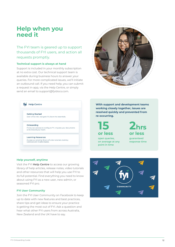# **Help when you need it**

# The FYI team is geared up to support thousands of FYI users, and action all requests promptly.

# **Technical support is always at hand**

Support is included in your monthly subscription at no extra cost. Our technical support team is available during business hours to answer your queries. For more complicated issues, we'll initiate an outbound call. If you need help, you can submit a request in-app, via the Help Centre, or simply send an email to support@fyidocs.com.



# **M** Help Centre

**Getting Started** Start a free trial, navigate FYL learn the essentials

Onboarding Follow our process to configure FYI, migrate your documents<br>and onboard your team.

**Learning Resources** Access our growing library of video tutorials, training webinars and masterclass

**With support and development teams working closely together, issues are resolved quickly and prevented from re-occurring.**

**15 or less**

**open queries, on average at any point in time**

**2hrs or less**

**guaranteed response time**

### **Help yourself, anytime**

Visit the FYI **Help Centre** to access our growing library of help articles, release notes, video tutorials and other resources that will help you use FYI to its full potential. Find everything you need to know about using FYI as a new user, new admin, or seasoned FYI pro.

### **FYI User Community**

Join the FYI User Community on Facebook to keep up to date with new features and best practices, share tips and get ideas to ensure your practice is getting the most out of FYI. Ask a question and hear what other FYI users from across Australia, New Zealand and the UK have to say.

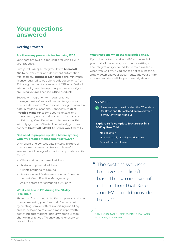# **Your questions answered**

# **Getting Started**

### **Are there any pre-requisites for using FYI?**

Yes, there are two pre-requisites for using FYI in your practice.

Firstly, FYI is deeply integrated with **Microsoft 365** to deliver email and document automation. Microsoft 365 **Business Standard** is the minimum license required to be able to edit documents from FYI using the desktop versions of Office or Outlook. We cannot guarantee optimal performance if you are using volume licensed Office products.

Secondly, integration with your practice management software allows you to sync your practice data with FYI and avoid having to maintain data in multiple locations. Connect with **Xero Practice Manager to sync your clients, client** groups, team, jobs, and timesheets. You can set up FYI using **Xero Tax** – but in this instance, FYI will only sync your Clients. Alternatively, you can connect **GreatSoft**, **MYOB AE** or **Reckon APS** to FYI.

# **Do I need to prepare my data before syncing with my practice management software?**

With client and contact data syncing from your practice management software, it is useful to ensure the following information is up to date at its source.

- Client and contact email address
- Postal and physical address
- Clients assigned to Groups
- Salutation and Addressee added to Contacts fields (in Xero Practice Manager only)
- ACN's entered for companies (AU only)

# **What can I do in FYI during the 30-day Free Trial?**

The entire feature set of the FYI pro plan is available to explore during your free trial. You can start by creating sample letters, importing and filing emails, delegating tasks and most importantly, activating automations. This is where your stepchange in practice efficiency and client service really kicks in.

#### **What happens when the trial period ends?**

If you choose to subscribe to FYI at the end of your trial, all the emails, documents, settings and integrations you've added remain available when you Go Live. If you choose not to subscribe, simply download your documents, and your entire account and data will be permanently deleted.

# **QUICK TIP**

Make sure you have installed the FYI Add-ins for Office and Outlook and optimised your computer for use with FYI.

# **Explore FYI's complete feature-set in a 30-Day Free Trial**

- No obligation
- No need to migrate all your docs first
- Operational in minutes
- **"** The system we used to have just didn't have the same level of integration that Xero and FYI…could provide to us. **"**

SAM HORSMAN BUSINESS PRINCIPAL AND PARTNER, PJS FINANCIAL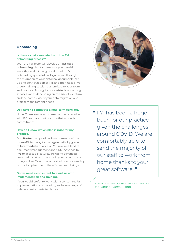# **Onboarding**

# **Is there a cost associated with the FYI onboarding process?**

Yes – the FYI Team will develop an **assisted onboarding** plan to make sure you transition smoothly and hit the ground running. Our onboarding specialists will guide you through the migration of your historical documents, set up and configuration of FYI, and then host a live group training session customised to your team and practice. Pricing for our assisted onboarding services varies depending on the size of your firm and the complexity of your data migration and project management needs.

# **Do I have to commit to a long-term contract?**

Nope! There are no long-term contracts required with FYL Your account is a month-to-month commitment

# **How do I know which plan is right for my practice?**

Our **Starter** plan provides instant results with a more efficient way to manage emails. Upgrade to **Intermediate** to access FYI's unique blend of document management and CRM. Advance to **Pro** to access all features, including advanced automations. You can upgrade your account any time you like. Over time, almost all practices end up on our top plan due to the efficiencies it brings.

# **Do we need a consultant to assist us with implementation and training?**

If you would prefer to work with a consultant for implementation and training, we have a range of independent experts to choose from.



**"** FYI has been a huge boon for our practice given the challenges around COVID. We are comfortably able to send the majority of our staff to work from home thanks to your great software. **"**

ALISTAIR SCANLON, PARTNER – SCANLON RICHARDSON ACCOUNTING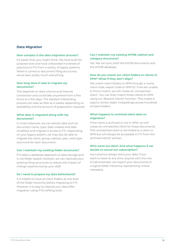# **Data Migration**

#### **How complex is the data migration process?**

It's easier than you might think. We have built-forpurpose tools and have onboarded hundreds of practices to FYI from a variety of legacy systems. When it comes to document filing structures, we've seen pretty much everything.

# **How long does it take to migrate my documents?**

This depends on data volume and internet connection and could take anywhere from a few hours to a few days. The assisted onboarding process can take as little as 4 weeks, depending on availability and the amount of preparation required.

# **What data is migrated along with my documents?**

In most instances, we can extract data such as document name, type, date created and date modified, and migrate it across to FYI. Depending on your legacy system, we may also be able to migrate the client, group, cabinet, year, work type and more for each document.

### **Can I maintain my existing folder structures?**

FYI takes a database approach to data storage and is not folder-based. However, we can replicate your existing filing structures to reduce the impact of change experienced by your staff.

#### **Do I need to prepare my data beforehand?**

It is helpful to have all client folders at one level of the folder hierarchy before migrating to FYI. However, it is easy to cleanse your data after migration using FYI's refiling tools.

# **Can I maintain my existing MYOB cabinet and category structures?**

Yes. We can sync both the MYOB documents and the MYOB database.

# **How do you match our client folders to clients in XPM? What if they don't align?**

We match client folders to XPM through a name, client code, export code or XPM ID. If we are unable to find a match, we will create an 'unmatched client'. You can then match these clients to XPM using our 'Resolve Clients' function. This makes it easy to correct slight misspellings across hundreds of client folders.

# **What happens to archived client data on migration?**

If the client is archived or not in XPM, we will create an unmatched client for these documents. This unmatched client is not linked to a client in XPM but will always be accessible in FYI from the archived clients' section.

# **Who owns our data? And what happens if we decide to cancel our subscription?**

Your practice always owns your data. If you want to leave at any time, anyone with the role of administrator can export your documents in a logical folder hierarchy representing critical metadata.